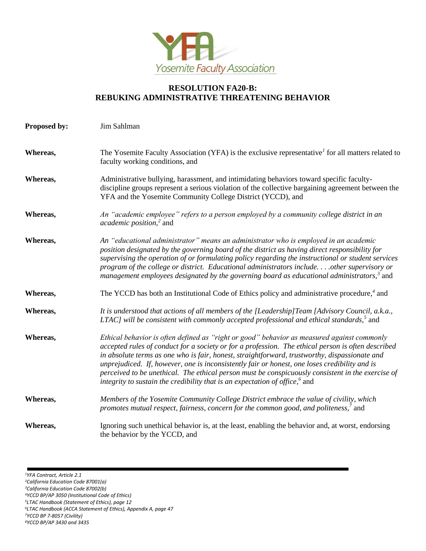

## **RESOLUTION FA20-B: REBUKING ADMINISTRATIVE THREATENING BEHAVIOR**

| Proposed by: | Jim Sahlman                                                                                                                                                                                                                                                                                                                                                                                                                                                                                                                                                                                    |
|--------------|------------------------------------------------------------------------------------------------------------------------------------------------------------------------------------------------------------------------------------------------------------------------------------------------------------------------------------------------------------------------------------------------------------------------------------------------------------------------------------------------------------------------------------------------------------------------------------------------|
| Whereas,     | The Yosemite Faculty Association (YFA) is the exclusive representative <sup>1</sup> for all matters related to<br>faculty working conditions, and                                                                                                                                                                                                                                                                                                                                                                                                                                              |
| Whereas,     | Administrative bullying, harassment, and intimidating behaviors toward specific faculty-<br>discipline groups represent a serious violation of the collective bargaining agreement between the<br>YFA and the Yosemite Community College District (YCCD), and                                                                                                                                                                                                                                                                                                                                  |
| Whereas,     | An "academic employee" refers to a person employed by a community college district in an<br><i>academic position</i> , <sup>2</sup> and                                                                                                                                                                                                                                                                                                                                                                                                                                                        |
| Whereas,     | An "educational administrator" means an administrator who is employed in an academic<br>position designated by the governing board of the district as having direct responsibility for<br>supervising the operation of or formulating policy regarding the instructional or student services<br>program of the college or district. Educational administrators include other supervisory or<br>management employees designated by the governing board as educational administrators, <sup>3</sup> and                                                                                          |
| Whereas,     | The YCCD has both an Institutional Code of Ethics policy and administrative procedure, <sup>4</sup> and                                                                                                                                                                                                                                                                                                                                                                                                                                                                                        |
| Whereas,     | It is understood that actions of all members of the [Leadership]Team [Advisory Council, a.k.a.,<br>LTAC] will be consistent with commonly accepted professional and ethical standards, $5$ and                                                                                                                                                                                                                                                                                                                                                                                                 |
| Whereas,     | Ethical behavior is often defined as "right or good" behavior as measured against commonly<br>accepted rules of conduct for a society or for a profession. The ethical person is often described<br>in absolute terms as one who is fair, honest, straightforward, trustworthy, dispassionate and<br>unprejudiced. If, however, one is inconsistently fair or honest, one loses credibility and is<br>perceived to be unethical. The ethical person must be conspicuously consistent in the exercise of<br>integrity to sustain the credibility that is an expectation of office, $\delta$ and |
| Whereas,     | Members of the Yosemite Community College District embrace the value of civility, which<br>promotes mutual respect, fairness, concern for the common good, and politeness, <sup>7</sup> and                                                                                                                                                                                                                                                                                                                                                                                                    |
| Whereas,     | Ignoring such unethical behavior is, at the least, enabling the behavior and, at worst, endorsing<br>the behavior by the YCCD, and                                                                                                                                                                                                                                                                                                                                                                                                                                                             |

*<sup>1</sup>YFA Contract, Article 2.1*

- *<sup>2</sup>California Education Code 87001(a)*
- *<sup>3</sup>California Education Code 87002(b)*
- *<sup>4</sup>YCCD BP/AP 3050 (Institutional Code of Ethics)*
- *<sup>5</sup>LTAC Handbook (Statement of Ethics), page 12*
- *<sup>6</sup>LTAC Handbook (ACCA Statement of Ethics), Appendix A, page 47*
- *<sup>7</sup>YCCD BP 7-8057 (Civility) <sup>8</sup>YCCD BP/AP 3430 and 3435*